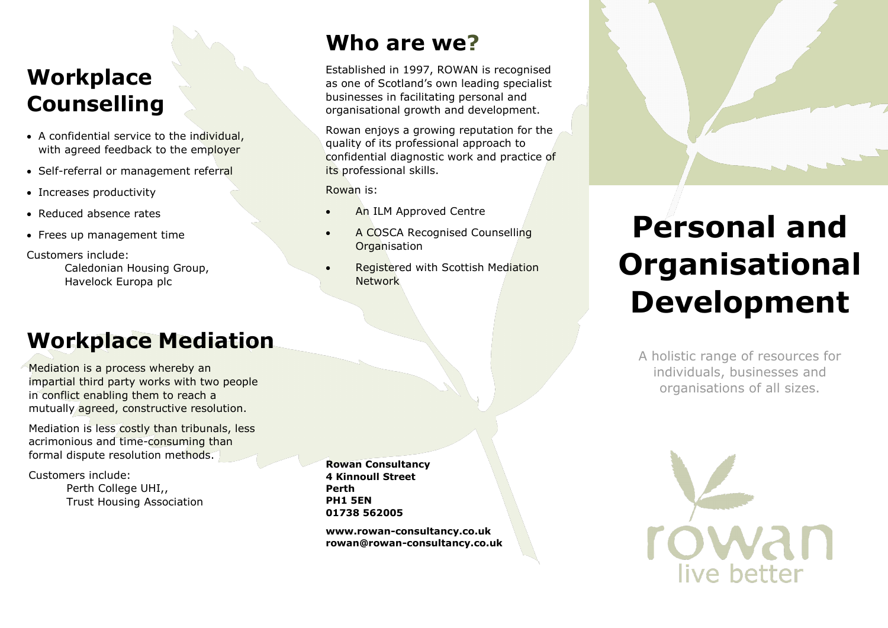#### **Workplace Counselling**

- A confidential service to the individual, with agreed feedback to the employer
- Self-referral or management referral
- Increases productivity
- Reduced absence rates
- Frees up management time

Customers include:

Caledonian Housing Group, Havelock Europa plc

### **Workplace Mediation**

Mediation is a process whereby an impartial third party works with two people in conflict enabling them to reach a mutually agreed, constructive resolution.

Mediation is less costly than tribunals, less acrimonious and time-consuming than formal dispute resolution methods.

Customers include: Perth College UHI,, Trust Housing Association **Rowan Consultancy 4 Kinnoull Street Perth PH1 5EN 01738 562005**

**www.rowan-consultancy.co.uk rowan@rowan-consultancy.co.uk**

Established in 1997, ROWAN is recognised as one of Scotland's own leading specialist businesses in facilitating personal and organisational growth and development.

**Who are we?**

Rowan enjoys a growing reputation for the quality of its professional approach to confidential diagnostic work and practice of

An ILM Approved Centre

• A COSCA Recognised Counselling

• Registered with Scottish Mediation

its professional skills.

**Organisation** 

Network

Rowan is:



# **Personal and Organisational Development**

A holistic range of resources for individuals, businesses and organisations of all sizes.